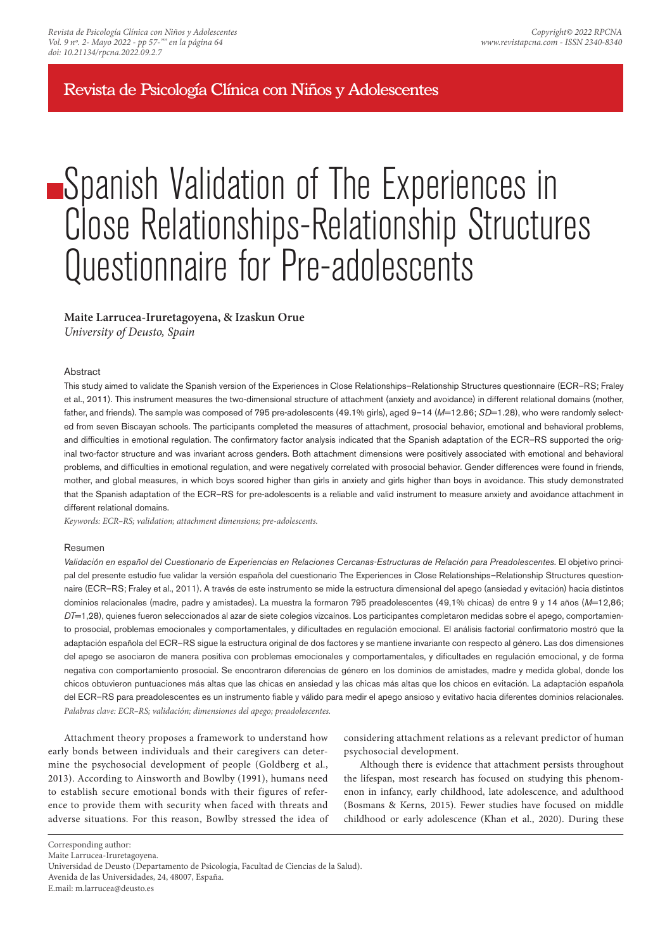Revista de Psicología Clínica con Niños y Adolescentes

# Spanish Validation of The Experiences in Close Relationships-Relationship Structures Questionnaire for Pre-adolescents

# **Maite Larrucea-Iruretagoyena, & Izaskun Orue**

*University of Deusto, Spain*

#### **Abstract**

This study aimed to validate the Spanish version of the Experiences in Close Relationships–Relationship Structures questionnaire (ECR–RS; Fraley et al., 2011). This instrument measures the two-dimensional structure of attachment (anxiety and avoidance) in different relational domains (mother, father, and friends). The sample was composed of 795 pre-adolescents (49.1% girls), aged 9–14 (*M*=12.86; *SD*=1.28), who were randomly selected from seven Biscayan schools. The participants completed the measures of attachment, prosocial behavior, emotional and behavioral problems, and difficulties in emotional regulation. The confirmatory factor analysis indicated that the Spanish adaptation of the ECR–RS supported the original two-factor structure and was invariant across genders. Both attachment dimensions were positively associated with emotional and behavioral problems, and difficulties in emotional regulation, and were negatively correlated with prosocial behavior. Gender differences were found in friends, mother, and global measures, in which boys scored higher than girls in anxiety and girls higher than boys in avoidance. This study demonstrated that the Spanish adaptation of the ECR–RS for pre-adolescents is a reliable and valid instrument to measure anxiety and avoidance attachment in different relational domains.

*Keywords: ECR–RS; validation; attachment dimensions; pre-adolescents.*

#### Resumen

Validación en español del Cuestionario de Experiencias en Relaciones Cercanas-Estructuras de Relación para Preadolescentes. El objetivo principal del presente estudio fue validar la versión española del cuestionario The Experiences in Close Relationships–Relationship Structures questionnaire (ECR–RS; Fraley et al., 2011). A través de este instrumento se mide la estructura dimensional del apego (ansiedad y evitación) hacia distintos dominios relacionales (madre, padre y amistades). La muestra la formaron 795 preadolescentes (49,1% chicas) de entre 9 y 14 años (M=12,86; *DT*=1,28), quienes fueron seleccionados al azar de siete colegios vizcaínos. Los participantes completaron medidas sobre el apego, comportamiento prosocial, problemas emocionales y comportamentales, y dificultades en regulación emocional. El análisis factorial confirmatorio mostró que la adaptación española del ECR–RS sigue la estructura original de dos factores y se mantiene invariante con respecto al género. Las dos dimensiones del apego se asociaron de manera positiva con problemas emocionales y comportamentales, y dificultades en regulación emocional, y de forma negativa con comportamiento prosocial. Se encontraron diferencias de género en los dominios de amistades, madre y medida global, donde los chicos obtuvieron puntuaciones más altas que las chicas en ansiedad y las chicas más altas que los chicos en evitación. La adaptación española del ECR–RS para preadolescentes es un instrumento fiable y válido para medir el apego ansioso y evitativo hacia diferentes dominios relacionales. *Palabras clave: ECR–RS; validación; dimensiones del apego; preadolescentes.*

Attachment theory proposes a framework to understand how early bonds between individuals and their caregivers can determine the psychosocial development of people (Goldberg et al., 2013). According to Ainsworth and Bowlby (1991), humans need to establish secure emotional bonds with their figures of reference to provide them with security when faced with threats and adverse situations. For this reason, Bowlby stressed the idea of considering attachment relations as a relevant predictor of human psychosocial development.

Although there is evidence that attachment persists throughout the lifespan, most research has focused on studying this phenomenon in infancy, early childhood, late adolescence, and adulthood (Bosmans & Kerns, 2015). Fewer studies have focused on middle childhood or early adolescence (Khan et al., 2020). During these

Corresponding author:

Maite Larrucea-Iruretagoyena.

Universidad de Deusto (Departamento de Psicología, Facultad de Ciencias de la Salud).

Avenida de las Universidades, 24, 48007, España.

E.mail: m.larrucea@deusto.es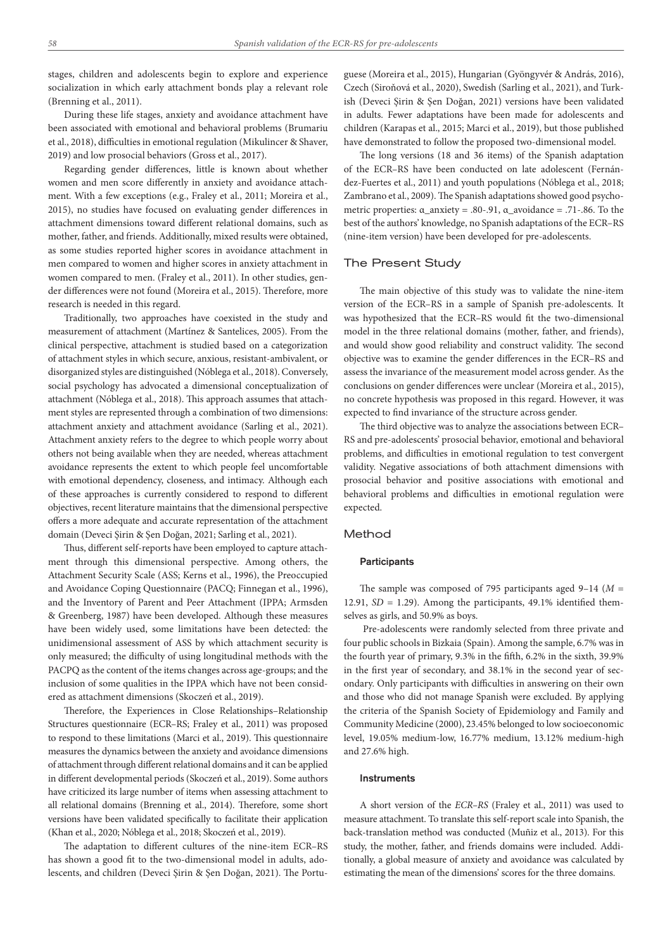stages, children and adolescents begin to explore and experience socialization in which early attachment bonds play a relevant role (Brenning et al., 2011).

During these life stages, anxiety and avoidance attachment have been associated with emotional and behavioral problems (Brumariu et al., 2018), difficulties in emotional regulation (Mikulincer & Shaver, 2019) and low prosocial behaviors (Gross et al., 2017).

Regarding gender differences, little is known about whether women and men score differently in anxiety and avoidance attachment. With a few exceptions (e.g., Fraley et al., 2011; Moreira et al., 2015), no studies have focused on evaluating gender differences in attachment dimensions toward different relational domains, such as mother, father, and friends. Additionally, mixed results were obtained, as some studies reported higher scores in avoidance attachment in men compared to women and higher scores in anxiety attachment in women compared to men. (Fraley et al., 2011). In other studies, gender differences were not found (Moreira et al., 2015). Therefore, more research is needed in this regard.

Traditionally, two approaches have coexisted in the study and measurement of attachment (Martínez & Santelices, 2005). From the clinical perspective, attachment is studied based on a categorization of attachment styles in which secure, anxious, resistant-ambivalent, or disorganized styles are distinguished (Nóblega et al., 2018). Conversely, social psychology has advocated a dimensional conceptualization of attachment (Nóblega et al., 2018). This approach assumes that attachment styles are represented through a combination of two dimensions: attachment anxiety and attachment avoidance (Sarling et al., 2021). Attachment anxiety refers to the degree to which people worry about others not being available when they are needed, whereas attachment avoidance represents the extent to which people feel uncomfortable with emotional dependency, closeness, and intimacy. Although each of these approaches is currently considered to respond to different objectives, recent literature maintains that the dimensional perspective offers a more adequate and accurate representation of the attachment domain (Deveci Şirin & Şen Doğan, 2021; Sarling et al., 2021).

Thus, different self-reports have been employed to capture attachment through this dimensional perspective. Among others, the Attachment Security Scale (ASS; Kerns et al., 1996), the Preoccupied and Avoidance Coping Questionnaire (PACQ; Finnegan et al., 1996), and the Inventory of Parent and Peer Attachment (IPPA; Armsden & Greenberg, 1987) have been developed. Although these measures have been widely used, some limitations have been detected: the unidimensional assessment of ASS by which attachment security is only measured; the difficulty of using longitudinal methods with the PACPQ as the content of the items changes across age-groups; and the inclusion of some qualities in the IPPA which have not been considered as attachment dimensions (Skoczeń et al., 2019).

Therefore, the Experiences in Close Relationships–Relationship Structures questionnaire (ECR–RS; Fraley et al., 2011) was proposed to respond to these limitations (Marci et al., 2019). This questionnaire measures the dynamics between the anxiety and avoidance dimensions of attachment through different relational domains and it can be applied in different developmental periods (Skoczeń et al., 2019). Some authors have criticized its large number of items when assessing attachment to all relational domains (Brenning et al., 2014). Therefore, some short versions have been validated specifically to facilitate their application (Khan et al., 2020; Nóblega et al., 2018; Skoczeń et al., 2019).

The adaptation to different cultures of the nine-item ECR–RS has shown a good fit to the two-dimensional model in adults, adolescents, and children (Deveci Şirin & Şen Doğan, 2021). The Portu-

guese (Moreira et al., 2015), Hungarian (Gyöngyvér & András, 2016), Czech (Siroňová et al., 2020), Swedish (Sarling et al., 2021), and Turkish (Deveci Şirin & Şen Doğan, 2021) versions have been validated in adults. Fewer adaptations have been made for adolescents and children (Karapas et al., 2015; Marci et al., 2019), but those published have demonstrated to follow the proposed two-dimensional model.

The long versions (18 and 36 items) of the Spanish adaptation of the ECR–RS have been conducted on late adolescent (Fernández-Fuertes et al., 2011) and youth populations (Nóblega et al., 2018; Zambrano et al., 2009). The Spanish adaptations showed good psychometric properties: α\_anxiety = .80-.91, α\_avoidance = .71-.86. To the best of the authors' knowledge, no Spanish adaptations of the ECR–RS (nine-item version) have been developed for pre-adolescents.

## The Present Study

The main objective of this study was to validate the nine-item version of the ECR–RS in a sample of Spanish pre-adolescents. It was hypothesized that the ECR–RS would fit the two-dimensional model in the three relational domains (mother, father, and friends), and would show good reliability and construct validity. The second objective was to examine the gender differences in the ECR–RS and assess the invariance of the measurement model across gender. As the conclusions on gender differences were unclear (Moreira et al., 2015), no concrete hypothesis was proposed in this regard. However, it was expected to find invariance of the structure across gender.

The third objective was to analyze the associations between ECR– RS and pre-adolescents' prosocial behavior, emotional and behavioral problems, and difficulties in emotional regulation to test convergent validity. Negative associations of both attachment dimensions with prosocial behavior and positive associations with emotional and behavioral problems and difficulties in emotional regulation were expected.

#### Method

## **Participants**

The sample was composed of 795 participants aged 9–14 (*M* = 12.91, *SD* = 1.29). Among the participants, 49.1% identified themselves as girls, and 50.9% as boys.

 Pre-adolescents were randomly selected from three private and four public schools in Bizkaia (Spain). Among the sample, 6.7% was in the fourth year of primary, 9.3% in the fifth, 6.2% in the sixth, 39.9% in the first year of secondary, and 38.1% in the second year of secondary. Only participants with difficulties in answering on their own and those who did not manage Spanish were excluded. By applying the criteria of the Spanish Society of Epidemiology and Family and Community Medicine (2000), 23.45% belonged to low socioeconomic level, 19.05% medium-low, 16.77% medium, 13.12% medium-high and 27.6% high.

## Instruments

A short version of the *ECR–RS* (Fraley et al., 2011) was used to measure attachment. To translate this self-report scale into Spanish, the back-translation method was conducted (Muñiz et al., 2013). For this study, the mother, father, and friends domains were included. Additionally, a global measure of anxiety and avoidance was calculated by estimating the mean of the dimensions' scores for the three domains.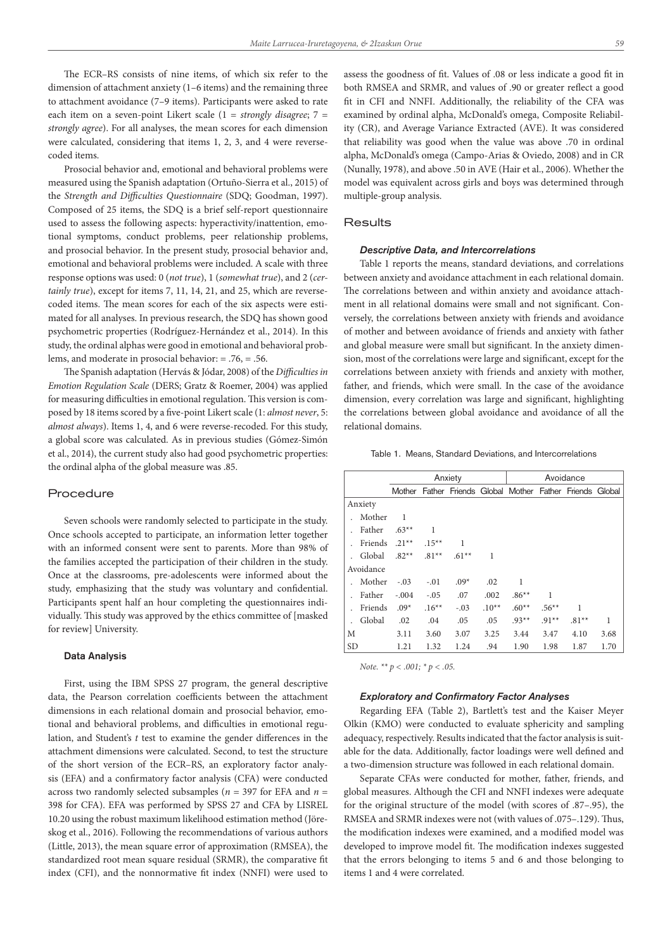The ECR–RS consists of nine items, of which six refer to the dimension of attachment anxiety (1–6 items) and the remaining three to attachment avoidance (7–9 items). Participants were asked to rate each item on a seven-point Likert scale (1 = *strongly disagree*; 7 = *strongly agree*). For all analyses, the mean scores for each dimension were calculated, considering that items 1, 2, 3, and 4 were reversecoded items.

Prosocial behavior and, emotional and behavioral problems were measured using the Spanish adaptation (Ortuño-Sierra et al., 2015) of the *Strength and Difficulties Questionnaire* (SDQ; Goodman, 1997). Composed of 25 items, the SDQ is a brief self-report questionnaire used to assess the following aspects: hyperactivity/inattention, emotional symptoms, conduct problems, peer relationship problems, and prosocial behavior. In the present study, prosocial behavior and, emotional and behavioral problems were included. A scale with three response options was used: 0 (*not true*), 1 (*somewhat true*), and 2 (*certainly true*), except for items 7, 11, 14, 21, and 25, which are reversecoded items. The mean scores for each of the six aspects were estimated for all analyses. In previous research, the SDQ has shown good psychometric properties (Rodríguez-Hernández et al., 2014). In this study, the ordinal alphas were good in emotional and behavioral problems, and moderate in prosocial behavior: = .76, = .56.

The Spanish adaptation (Hervás & Jódar, 2008) of the *Difficulties in Emotion Regulation Scale* (DERS; Gratz & Roemer, 2004) was applied for measuring difficulties in emotional regulation. This version is composed by 18 items scored by a five-point Likert scale (1: *almost never*, 5: *almost always*). Items 1, 4, and 6 were reverse-recoded. For this study, a global score was calculated. As in previous studies (Gómez-Simón et al., 2014), the current study also had good psychometric properties: the ordinal alpha of the global measure was .85.

#### Procedure

Seven schools were randomly selected to participate in the study. Once schools accepted to participate, an information letter together with an informed consent were sent to parents. More than 98% of the families accepted the participation of their children in the study. Once at the classrooms, pre-adolescents were informed about the study, emphasizing that the study was voluntary and confidential. Participants spent half an hour completing the questionnaires individually. This study was approved by the ethics committee of [masked for review] University.

#### Data Analysis

First, using the IBM SPSS 27 program, the general descriptive data, the Pearson correlation coefficients between the attachment dimensions in each relational domain and prosocial behavior, emotional and behavioral problems, and difficulties in emotional regulation, and Student's *t* test to examine the gender differences in the attachment dimensions were calculated. Second, to test the structure of the short version of the ECR–RS, an exploratory factor analysis (EFA) and a confirmatory factor analysis (CFA) were conducted across two randomly selected subsamples (*n* = 397 for EFA and *n* = 398 for CFA). EFA was performed by SPSS 27 and CFA by LISREL 10.20 using the robust maximum likelihood estimation method (Jöreskog et al., 2016). Following the recommendations of various authors (Little, 2013), the mean square error of approximation (RMSEA), the standardized root mean square residual (SRMR), the comparative fit index (CFI), and the nonnormative fit index (NNFI) were used to

assess the goodness of fit. Values of .08 or less indicate a good fit in both RMSEA and SRMR, and values of .90 or greater reflect a good fit in CFI and NNFI. Additionally, the reliability of the CFA was examined by ordinal alpha, McDonald's omega, Composite Reliability (CR), and Average Variance Extracted (AVE). It was considered that reliability was good when the value was above .70 in ordinal alpha, McDonald's omega (Campo-Arias & Oviedo, 2008) and in CR (Nunally, 1978), and above .50 in AVE (Hair et al., 2006). Whether the model was equivalent across girls and boys was determined through multiple-group analysis.

#### **Results**

#### *Descriptive Data, and Intercorrelations*

Table 1 reports the means, standard deviations, and correlations between anxiety and avoidance attachment in each relational domain. The correlations between and within anxiety and avoidance attachment in all relational domains were small and not significant. Conversely, the correlations between anxiety with friends and avoidance of mother and between avoidance of friends and anxiety with father and global measure were small but significant. In the anxiety dimension, most of the correlations were large and significant, except for the correlations between anxiety with friends and anxiety with mother, father, and friends, which were small. In the case of the avoidance dimension, every correlation was large and significant, highlighting the correlations between global avoidance and avoidance of all the relational domains.

Table 1. Means, Standard Deviations, and Intercorrelations

|           |           |         |          | Anxiety |         | Avoidance |          |                                                           |              |  |  |
|-----------|-----------|---------|----------|---------|---------|-----------|----------|-----------------------------------------------------------|--------------|--|--|
|           |           |         |          |         |         |           |          | Mother Father Friends Global Mother Father Friends Global |              |  |  |
|           | Anxiety   |         |          |         |         |           |          |                                                           |              |  |  |
|           | Mother    | 1       |          |         |         |           |          |                                                           |              |  |  |
|           | Father    | $.63**$ | 1        |         |         |           |          |                                                           |              |  |  |
|           | Friends   | $.21**$ | $.15***$ | 1       |         |           |          |                                                           |              |  |  |
|           | Global    | $.82**$ | $.81**$  | $.61**$ | 1       |           |          |                                                           |              |  |  |
|           | Avoidance |         |          |         |         |           |          |                                                           |              |  |  |
|           | Mother    | $-.03$  | $-.01$   | $.09*$  | .02     | 1         |          |                                                           |              |  |  |
|           | Father    | $-.004$ | $-.05$   | .07     | .002    | $.86**$   | 1        |                                                           |              |  |  |
|           | Friends   | $.09*$  | $.16***$ | $-.03$  | $.10**$ | $.60**$   | $.56***$ | 1                                                         |              |  |  |
|           | Global    | .02     | .04      | .05     | .05     | $.93**$   | $.91**$  | $.81**$                                                   | $\mathbf{1}$ |  |  |
| М         |           | 3.11    | 3.60     | 3.07    | 3.25    | 3.44      | 3.47     | 4.10                                                      | 3.68         |  |  |
| <b>SD</b> |           | 1.21    | 1.32     | 1.24    | .94     | 1.90      | 1.98     | 1.87                                                      | 1.70         |  |  |

*Note. \*\* p < .001; \* p < .05.*

#### *Exploratory and Confirmatory Factor Analyses*

Regarding EFA (Table 2), Bartlett's test and the Kaiser Meyer Olkin (KMO) were conducted to evaluate sphericity and sampling adequacy, respectively. Results indicated that the factor analysis is suitable for the data. Additionally, factor loadings were well defined and a two-dimension structure was followed in each relational domain.

Separate CFAs were conducted for mother, father, friends, and global measures. Although the CFI and NNFI indexes were adequate for the original structure of the model (with scores of .87–.95), the RMSEA and SRMR indexes were not (with values of .075–.129). Thus, the modification indexes were examined, and a modified model was developed to improve model fit. The modification indexes suggested that the errors belonging to items 5 and 6 and those belonging to items 1 and 4 were correlated.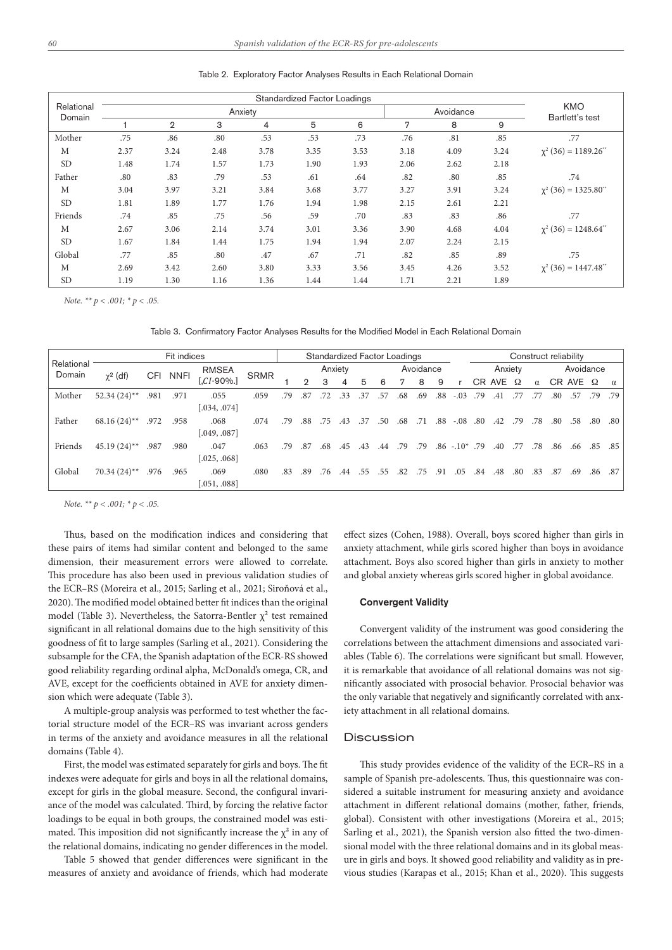| Relational |      |                |      | <b>Standardized Factor Loadings</b><br>Anxiety |      | Avoidance | <b>KMO</b><br>Bartlett's test |      |      |                                       |
|------------|------|----------------|------|------------------------------------------------|------|-----------|-------------------------------|------|------|---------------------------------------|
| Domain     |      | $\overline{2}$ | 3    | $\overline{4}$                                 | 5    | 6         | 7                             | 8    | 9    |                                       |
| Mother     | .75  | .86            | .80  | .53                                            | .53  | .73       | .76                           | .81  | .85  | .77                                   |
| М          | 2.37 | 3.24           | 2.48 | 3.78                                           | 3.35 | 3.53      | 3.18                          | 4.09 | 3.24 | $\chi^2$ (36) = 1189.26 <sup>**</sup> |
| <b>SD</b>  | 1.48 | 1.74           | 1.57 | 1.73                                           | 1.90 | 1.93      | 2.06                          | 2.62 | 2.18 |                                       |
| Father     | .80  | .83            | .79  | .53                                            | .61  | .64       | .82                           | .80  | .85  | .74                                   |
| M          | 3.04 | 3.97           | 3.21 | 3.84                                           | 3.68 | 3.77      | 3.27                          | 3.91 | 3.24 | $\chi^2$ (36) = 1325.80 <sup>**</sup> |
| <b>SD</b>  | 1.81 | 1.89           | 1.77 | 1.76                                           | 1.94 | 1.98      | 2.15                          | 2.61 | 2.21 |                                       |
| Friends    | .74  | .85            | .75  | .56                                            | .59  | .70       | .83                           | .83  | .86  | .77                                   |
| М          | 2.67 | 3.06           | 2.14 | 3.74                                           | 3.01 | 3.36      | 3.90                          | 4.68 | 4.04 | $\chi^2$ (36) = 1248.64 <sup>**</sup> |
| <b>SD</b>  | 1.67 | 1.84           | 1.44 | 1.75                                           | 1.94 | 1.94      | 2.07                          | 2.24 | 2.15 |                                       |
| Global     | .77  | .85            | .80  | .47                                            | .67  | .71       | .82                           | .85  | .89  | .75                                   |
| M          | 2.69 | 3.42           | 2.60 | 3.80                                           | 3.33 | 3.56      | 3.45                          | 4.26 | 3.52 | $\chi^2$ (36) = 1447.48 <sup>**</sup> |
| <b>SD</b>  | 1.19 | 1.30           | 1.16 | 1.36                                           | 1.44 | 1.44      | 1.71                          | 2.21 | 1.89 |                                       |

Table 2. Exploratory Factor Analyses Results in Each Relational Domain

*Note. \*\* p < .001; \* p < .05.*

Table 3. Confirmatory Factor Analyses Results for the Modified Model in Each Relational Domain

|                      | Fit indices    |      |             |              | Standardized Factor Loadings |     |                |     |         |     | Construct reliability |     |           |     |                  |     |                 |     |          |     |                   |     |          |
|----------------------|----------------|------|-------------|--------------|------------------------------|-----|----------------|-----|---------|-----|-----------------------|-----|-----------|-----|------------------|-----|-----------------|-----|----------|-----|-------------------|-----|----------|
| Relational<br>Domain | $\chi^2$ (df)  | CFI  | <b>NNFI</b> | <b>RMSEA</b> | <b>SRMR</b>                  |     |                |     | Anxiety |     |                       |     | Avoidance |     |                  |     | Anxiety         |     |          |     | Avoidance         |     |          |
|                      |                |      |             | $CI-90\%$ .  |                              |     | $\overline{2}$ | 3   | 4       | 5   | 6                     | 7   | 8         | 9   |                  |     | CR AVE $\Omega$ |     | $\alpha$ |     | $CR$ AVE $\Omega$ |     | $\alpha$ |
| Mother               | $52.34(24)$ ** | .981 | .971        | .055         | .059                         | .79 | .87            | .72 | .33     | .37 | .57                   | .68 | .69       | .88 | $-.03$           | .79 | .41             |     | .77      | .80 | .57               | .79 | .79      |
|                      |                |      |             | [.034, .074] |                              |     |                |     |         |     |                       |     |           |     |                  |     |                 |     |          |     |                   |     |          |
| Father               | $68.16(24)$ ** | .972 | .958        | .068         | .074                         | .79 | .88            | .75 | .43     | .37 | .50                   | .68 | .71       | .88 | $-.08$           | .80 | .42             | .79 | .78      | .80 | .58               | .80 | .80      |
|                      |                |      |             | 0.049, 0.087 |                              |     |                |     |         |     |                       |     |           |     |                  |     |                 |     |          |     |                   |     |          |
| Friends              | $45.19(24)$ ** | .987 | .980        | .047         | .063                         | .79 | .87            | .68 | .45     | .43 | .44                   | .79 | .79       |     | $.86 - 10^*$ .79 |     | .40             | .77 | .78      | .86 | .66               | .85 | .85      |
|                      |                |      |             | .025, .068]  |                              |     |                |     |         |     |                       |     |           |     |                  |     |                 |     |          |     |                   |     |          |
| Global               | $70.34(24)$ ** | .976 | .965        | .069         | .080                         | .83 | .89            | .76 | 44      | .55 | .55                   | .82 | .75       | -91 | .05              | .84 | .48             | .80 | .83      | .87 | .69               | .86 | .87      |
|                      |                |      |             | 0.051, 0.088 |                              |     |                |     |         |     |                       |     |           |     |                  |     |                 |     |          |     |                   |     |          |

*Note. \*\* p < .001; \* p < .05.*

Thus, based on the modification indices and considering that these pairs of items had similar content and belonged to the same dimension, their measurement errors were allowed to correlate. This procedure has also been used in previous validation studies of the ECR–RS (Moreira et al., 2015; Sarling et al., 2021; Siroňová et al., 2020). The modified model obtained better fit indices than the original model (Table 3). Nevertheless, the Satorra-Bentler  $\chi^2$  test remained significant in all relational domains due to the high sensitivity of this goodness of fit to large samples (Sarling et al., 2021). Considering the subsample for the CFA, the Spanish adaptation of the ECR-RS showed good reliability regarding ordinal alpha, McDonald's omega, CR, and AVE, except for the coefficients obtained in AVE for anxiety dimension which were adequate (Table 3).

A multiple-group analysis was performed to test whether the factorial structure model of the ECR–RS was invariant across genders in terms of the anxiety and avoidance measures in all the relational domains (Table 4).

First, the model was estimated separately for girls and boys. The fit indexes were adequate for girls and boys in all the relational domains, except for girls in the global measure. Second, the configural invariance of the model was calculated. Third, by forcing the relative factor loadings to be equal in both groups, the constrained model was estimated. This imposition did not significantly increase the  $\chi^2$  in any of the relational domains, indicating no gender differences in the model.

Table 5 showed that gender differences were significant in the measures of anxiety and avoidance of friends, which had moderate

effect sizes (Cohen, 1988). Overall, boys scored higher than girls in anxiety attachment, while girls scored higher than boys in avoidance attachment. Boys also scored higher than girls in anxiety to mother and global anxiety whereas girls scored higher in global avoidance.

#### Convergent Validity

Convergent validity of the instrument was good considering the correlations between the attachment dimensions and associated variables (Table 6). The correlations were significant but small. However, it is remarkable that avoidance of all relational domains was not significantly associated with prosocial behavior. Prosocial behavior was the only variable that negatively and significantly correlated with anxiety attachment in all relational domains.

# **Discussion**

This study provides evidence of the validity of the ECR–RS in a sample of Spanish pre-adolescents. Thus, this questionnaire was considered a suitable instrument for measuring anxiety and avoidance attachment in different relational domains (mother, father, friends, global). Consistent with other investigations (Moreira et al., 2015; Sarling et al., 2021), the Spanish version also fitted the two-dimensional model with the three relational domains and in its global measure in girls and boys. It showed good reliability and validity as in previous studies (Karapas et al., 2015; Khan et al., 2020). This suggests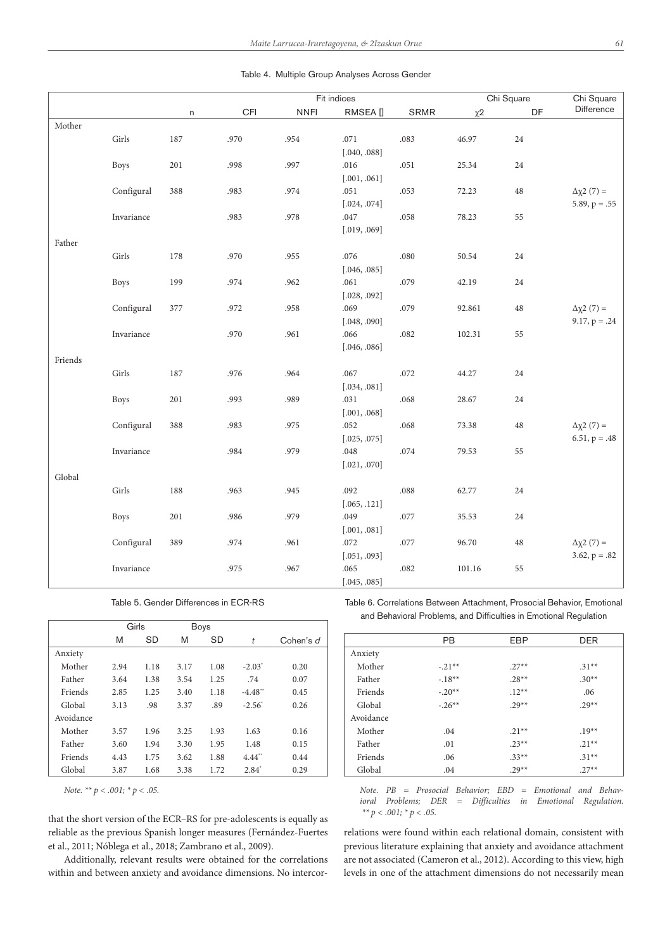|         |             |              |      |             | Fit indices  |      |         | Chi Square |                          |  |
|---------|-------------|--------------|------|-------------|--------------|------|---------|------------|--------------------------|--|
|         |             | $\mathsf{n}$ | CFI  | <b>NNFI</b> | RMSEA []     | SRMR | $\chi2$ | DF         | Chi Square<br>Difference |  |
| Mother  |             |              |      |             |              |      |         |            |                          |  |
|         | Girls       | 187          | .970 | .954        | .071         | .083 | 46.97   | 24         |                          |  |
|         |             |              |      |             | [.040, .088] |      |         |            |                          |  |
|         | <b>Boys</b> | 201          | .998 | .997        | .016         | .051 | 25.34   | 24         |                          |  |
|         |             |              |      |             | [.001, .061] |      |         |            |                          |  |
|         | Configural  | 388          | .983 | .974        | .051         | .053 | 72.23   | $48\,$     | $Δχ2(7) =$               |  |
|         |             |              |      |             | [.024, .074] |      |         |            | $5.89, p = .55$          |  |
|         | Invariance  |              | .983 | .978        | .047         | .058 | 78.23   | 55         |                          |  |
|         |             |              |      |             | [.019, .069] |      |         |            |                          |  |
| Father  |             |              |      |             |              |      |         |            |                          |  |
|         | Girls       | 178          | .970 | .955        | .076         | .080 | 50.54   | 24         |                          |  |
|         |             |              |      |             | [.046, .085] |      |         |            |                          |  |
|         | <b>Boys</b> | 199          | .974 | .962        | .061         | .079 | 42.19   | 24         |                          |  |
|         |             |              |      |             | [.028, .092] |      |         |            |                          |  |
|         | Configural  | 377          | .972 | .958        | .069         | .079 | 92.861  | $48\,$     | $Δχ2(7) =$               |  |
|         |             |              |      |             | [.048, .090] |      |         |            | $9.17, p = .24$          |  |
|         | Invariance  |              | .970 | .961        | .066         | .082 | 102.31  | 55         |                          |  |
|         |             |              |      |             | [.046, .086] |      |         |            |                          |  |
| Friends |             |              |      |             |              |      |         |            |                          |  |
|         | Girls       | 187          | .976 | .964        | .067         | .072 | 44.27   | 24         |                          |  |
|         |             |              |      |             | [.034, .081] |      |         |            |                          |  |
|         | <b>Boys</b> | 201          | .993 | .989        | .031         | .068 | 28.67   | 24         |                          |  |
|         |             |              |      |             | [.001, .068] |      |         |            |                          |  |
|         | Configural  | 388          | .983 | .975        | .052         | .068 | 73.38   | $48\,$     | $Δχ2(7) =$               |  |
|         |             |              |      |             | [.025, .075] |      |         |            | $6.51, p = .48$          |  |

Invariance .984 .979 .048 .074 79.53 55

Girls 188 .963 .945 .092 .088 62.77 24

Boys 201 .986 .979 .049 .077 35.53 24

Invariance .975 .967 .065 .082 101.16 55

[.021, .070]

[.065, .121]

[.001, .081] Configural 389 .974 .961 .072 .077 96.70 48  $Δχ2 (7) =$ 

[.045, .085]

Table 4. Multiple Group Analyses Across Gender

Table 5. Gender Differences in ECR-RS

|           |      | Girls |      | <b>Boys</b> |                       |           |
|-----------|------|-------|------|-------------|-----------------------|-----------|
|           | M    | SD    | M    | <b>SD</b>   | t                     | Cohen's d |
| Anxiety   |      |       |      |             |                       |           |
| Mother    | 2.94 | 1.18  | 3.17 | 1.08        | $-2.03^*$             | 0.20      |
| Father    | 3.64 | 1.38  | 3.54 | 1.25        | .74                   | 0.07      |
| Friends   | 2.85 | 1.25  | 3.40 | 1.18        | $-4.48$ <sup>**</sup> | 0.45      |
| Global    | 3.13 | .98   | 3.37 | .89         | $-2.56^{\circ}$       | 0.26      |
| Avoidance |      |       |      |             |                       |           |
| Mother    | 3.57 | 1.96  | 3.25 | 1.93        | 1.63                  | 0.16      |
| Father    | 3.60 | 1.94  | 3.30 | 1.95        | 1.48                  | 0.15      |
| Friends   | 4.43 | 1.75  | 3.62 | 1.88        | $4.44$ <sup>**</sup>  | 0.44      |
| Global    | 3.87 | 1.68  | 3.38 | 1.72        | $2.84^*$              | 0.29      |

*Note. \*\* p < .001; \* p < .05.*

Global

that the short version of the ECR–RS for pre-adolescents is equally as reliable as the previous Spanish longer measures (Fernández-Fuertes et al., 2011; Nóblega et al., 2018; Zambrano et al., 2009).

Additionally, relevant results were obtained for the correlations within and between anxiety and avoidance dimensions. No intercorTable 6. Correlations Between Attachment, Prosocial Behavior, Emotional and Behavioral Problems, and Difficulties in Emotional Regulation

 $[.051, .093]$  3.62, p = .82

|           | <b>PB</b> | EBP     | <b>DER</b> |
|-----------|-----------|---------|------------|
| Anxiety   |           |         |            |
| Mother    | $-.21**$  | $.27**$ | $.31**$    |
| Father    | $-18**$   | $.28**$ | $.30**$    |
| Friends   | $-.20**$  | $12**$  | .06        |
| Global    | $-.26**$  | $29**$  | $.29**$    |
| Avoidance |           |         |            |
| Mother    | .04       | $.21**$ | $.19**$    |
| Father    | .01       | $23**$  | $.21**$    |
| Friends   | .06       | $.33**$ | $.31**$    |
| Global    | .04       | $.29**$ | $.27**$    |

*Note. PB = Prosocial Behavior; EBD = Emotional and Behavioral Problems; DER = Difficulties in Emotional Regulation. \*\* p < .001; \* p < .05.*

relations were found within each relational domain, consistent with previous literature explaining that anxiety and avoidance attachment are not associated (Cameron et al., 2012). According to this view, high levels in one of the attachment dimensions do not necessarily mean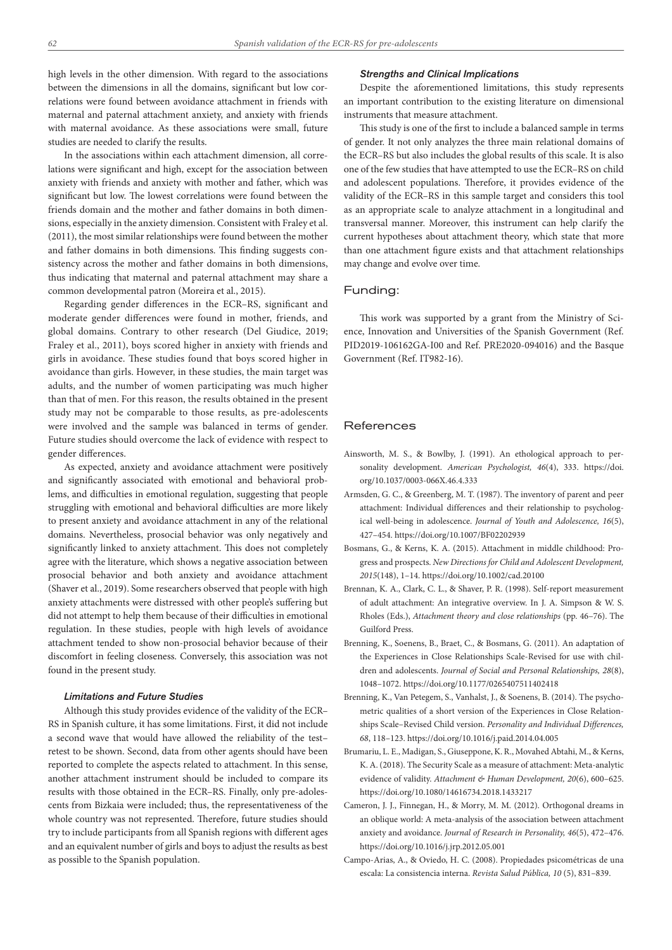high levels in the other dimension. With regard to the associations between the dimensions in all the domains, significant but low correlations were found between avoidance attachment in friends with maternal and paternal attachment anxiety, and anxiety with friends with maternal avoidance. As these associations were small, future studies are needed to clarify the results.

In the associations within each attachment dimension, all correlations were significant and high, except for the association between anxiety with friends and anxiety with mother and father, which was significant but low. The lowest correlations were found between the friends domain and the mother and father domains in both dimensions, especially in the anxiety dimension. Consistent with Fraley et al. (2011), the most similar relationships were found between the mother and father domains in both dimensions. This finding suggests consistency across the mother and father domains in both dimensions, thus indicating that maternal and paternal attachment may share a common developmental patron (Moreira et al., 2015).

Regarding gender differences in the ECR–RS, significant and moderate gender differences were found in mother, friends, and global domains. Contrary to other research (Del Giudice, 2019; Fraley et al., 2011), boys scored higher in anxiety with friends and girls in avoidance. These studies found that boys scored higher in avoidance than girls. However, in these studies, the main target was adults, and the number of women participating was much higher than that of men. For this reason, the results obtained in the present study may not be comparable to those results, as pre-adolescents were involved and the sample was balanced in terms of gender. Future studies should overcome the lack of evidence with respect to gender differences.

As expected, anxiety and avoidance attachment were positively and significantly associated with emotional and behavioral problems, and difficulties in emotional regulation, suggesting that people struggling with emotional and behavioral difficulties are more likely to present anxiety and avoidance attachment in any of the relational domains. Nevertheless, prosocial behavior was only negatively and significantly linked to anxiety attachment. This does not completely agree with the literature, which shows a negative association between prosocial behavior and both anxiety and avoidance attachment (Shaver et al., 2019). Some researchers observed that people with high anxiety attachments were distressed with other people's suffering but did not attempt to help them because of their difficulties in emotional regulation. In these studies, people with high levels of avoidance attachment tended to show non-prosocial behavior because of their discomfort in feeling closeness. Conversely, this association was not found in the present study.

## *Limitations and Future Studies*

Although this study provides evidence of the validity of the ECR– RS in Spanish culture, it has some limitations. First, it did not include a second wave that would have allowed the reliability of the test– retest to be shown. Second, data from other agents should have been reported to complete the aspects related to attachment. In this sense, another attachment instrument should be included to compare its results with those obtained in the ECR–RS. Finally, only pre-adolescents from Bizkaia were included; thus, the representativeness of the whole country was not represented. Therefore, future studies should try to include participants from all Spanish regions with different ages and an equivalent number of girls and boys to adjust the results as best as possible to the Spanish population.

## *Strengths and Clinical Implications*

Despite the aforementioned limitations, this study represents an important contribution to the existing literature on dimensional instruments that measure attachment.

This study is one of the first to include a balanced sample in terms of gender. It not only analyzes the three main relational domains of the ECR–RS but also includes the global results of this scale. It is also one of the few studies that have attempted to use the ECR–RS on child and adolescent populations. Therefore, it provides evidence of the validity of the ECR–RS in this sample target and considers this tool as an appropriate scale to analyze attachment in a longitudinal and transversal manner. Moreover, this instrument can help clarify the current hypotheses about attachment theory, which state that more than one attachment figure exists and that attachment relationships may change and evolve over time.

# Funding:

This work was supported by a grant from the Ministry of Science, Innovation and Universities of the Spanish Government (Ref. PID2019-106162GA-I00 and Ref. PRE2020-094016) and the Basque Government (Ref. IT982-16).

# **References**

- Ainsworth, M. S., & Bowlby, J. (1991). An ethological approach to personality development. *American Psychologist, 46*(4), 333. https://doi. org/10.1037/0003-066X.46.4.333
- Armsden, G. C., & Greenberg, M. T. (1987). The inventory of parent and peer attachment: Individual differences and their relationship to psychological well-being in adolescence. *Journal of Youth and Adolescence, 16*(5), 427–454. https://doi.org/10.1007/BF02202939
- Bosmans, G., & Kerns, K. A. (2015). Attachment in middle childhood: Progress and prospects. *New Directions for Child and Adolescent Development, 2015*(148), 1–14. https://doi.org/10.1002/cad.20100
- Brennan, K. A., Clark, C. L., & Shaver, P. R. (1998). Self-report measurement of adult attachment: An integrative overview. In J. A. Simpson & W. S. Rholes (Eds.), *Attachment theory and close relationships* (pp. 46–76). The Guilford Press.
- Brenning, K., Soenens, B., Braet, C., & Bosmans, G. (2011). An adaptation of the Experiences in Close Relationships Scale-Revised for use with children and adolescents. *Journal of Social and Personal Relationships, 28*(8), 1048–1072. https://doi.org/10.1177/0265407511402418
- Brenning, K., Van Petegem, S., Vanhalst, J., & Soenens, B. (2014). The psychometric qualities of a short version of the Experiences in Close Relationships Scale–Revised Child version. *Personality and Individual Differences, 68*, 118–123. https://doi.org/10.1016/j.paid.2014.04.005
- Brumariu, L. E., Madigan, S., Giuseppone, K. R., Movahed Abtahi, M., & Kerns, K. A. (2018). The Security Scale as a measure of attachment: Meta-analytic evidence of validity. *Attachment & Human Development, 20*(6), 600–625. https://doi.org/10.1080/14616734.2018.1433217
- Cameron, J. J., Finnegan, H., & Morry, M. M. (2012). Orthogonal dreams in an oblique world: A meta-analysis of the association between attachment anxiety and avoidance. *Journal of Research in Personality, 46*(5), 472–476. https://doi.org/10.1016/j.jrp.2012.05.001
- Campo-Arias, A., & Oviedo, H. C. (2008). Propiedades psicométricas de una escala: La consistencia interna. *Revista Salud Pública, 10* (5), 831–839.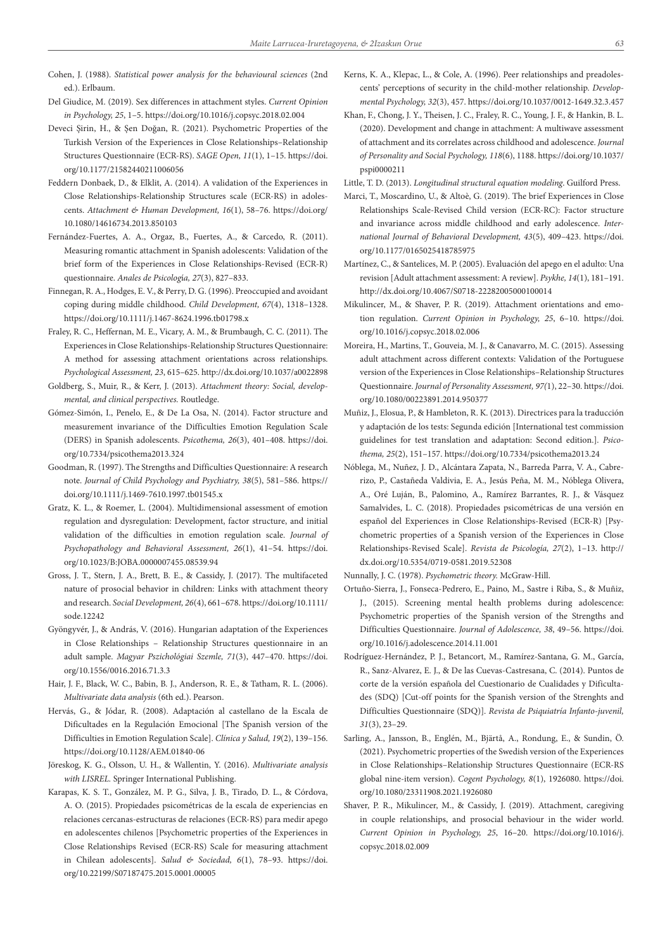- Cohen, J. (1988). *Statistical power analysis for the behavioural sciences* (2nd ed.). Erlbaum.
- Del Giudice, M. (2019). Sex differences in attachment styles. *Current Opinion in Psychology, 25*, 1–5. https://doi.org/10.1016/j.copsyc.2018.02.004
- Deveci Şirin, H., & Şen Doğan, R. (2021). Psychometric Properties of the Turkish Version of the Experiences in Close Relationships–Relationship Structures Questionnaire (ECR-RS). *SAGE Open, 11*(1), 1–15. https://doi. org/10.1177/21582440211006056
- Feddern Donbaek, D., & Elklit, A. (2014). A validation of the Experiences in Close Relationships-Relationship Structures scale (ECR-RS) in adolescents. *Attachment & Human Development, 16*(1), 58–76. https://doi.org/ 10.1080/14616734.2013.850103
- Fernández-Fuertes, A. A., Orgaz, B., Fuertes, A., & Carcedo, R. (2011). Measuring romantic attachment in Spanish adolescents: Validation of the brief form of the Experiences in Close Relationships-Revised (ECR-R) questionnaire. *Anales de Psicolog*í*a, 27*(3), 827–833.
- Finnegan, R. A., Hodges, E. V., & Perry, D. G. (1996). Preoccupied and avoidant coping during middle childhood. *Child Development, 67*(4), 1318–1328. https://doi.org/10.1111/j.1467-8624.1996.tb01798.x
- Fraley, R. C., Heffernan, M. E., Vicary, A. M., & Brumbaugh, C. C. (2011). The Experiences in Close Relationships-Relationship Structures Questionnaire: A method for assessing attachment orientations across relationships. *Psychological Assessment, 23*, 615–625. http://dx.doi.org/10.1037/a0022898
- Goldberg, S., Muir, R., & Kerr, J. (2013). *Attachment theory: Social, developmental, and clinical perspectives.* Routledge.
- Gómez-Simón, I., Penelo, E., & De La Osa, N. (2014). Factor structure and measurement invariance of the Difficulties Emotion Regulation Scale (DERS) in Spanish adolescents. *Psicothema, 26*(3), 401–408. https://doi. org/10.7334/psicothema2013.324
- Goodman, R. (1997). The Strengths and Difficulties Questionnaire: A research note. *Journal of Child Psychology and Psychiatry, 38*(5), 581–586. https:// doi.org/10.1111/j.1469-7610.1997.tb01545.x
- Gratz, K. L., & Roemer, L. (2004). Multidimensional assessment of emotion regulation and dysregulation: Development, factor structure, and initial validation of the difficulties in emotion regulation scale. *Journal of Psychopathology and Behavioral Assessment, 26*(1), 41–54. https://doi. org/10.1023/B:JOBA.0000007455.08539.94
- Gross, J. T., Stern, J. A., Brett, B. E., & Cassidy, J. (2017). The multifaceted nature of prosocial behavior in children: Links with attachment theory and research. *Social Development, 26*(4), 661–678. https://doi.org/10.1111/ sode.12242
- Gyöngyvér, J., & András, V. (2016). Hungarian adaptation of the Experiences in Close Relationships – Relationship Structures questionnaire in an adult sample. *Magyar Pszichológiai Szemle, 71*(3), 447–470. https://doi. org/10.1556/0016.2016.71.3.3
- Hair, J. F., Black, W. C., Babin, B. J., Anderson, R. E., & Tatham, R. L. (2006). *Multivariate data analysis* (6th ed.). Pearson.
- Hervás, G., & Jódar, R. (2008). Adaptación al castellano de la Escala de Dificultades en la Regulación Emocional [The Spanish version of the Difficulties in Emotion Regulation Scale]. *Clínica y Salud, 19*(2), 139–156. https://doi.org/10.1128/AEM.01840-06
- Jöreskog, K. G., Olsson, U. H., & Wallentin, Y. (2016). *Multivariate analysis with LISREL.* Springer International Publishing.
- Karapas, K. S. T., González, M. P. G., Silva, J. B., Tirado, D. L., & Córdova, A. O. (2015). Propiedades psicométricas de la escala de experiencias en relaciones cercanas-estructuras de relaciones (ECR-RS) para medir apego en adolescentes chilenos [Psychometric properties of the Experiences in Close Relationships Revised (ECR-RS) Scale for measuring attachment in Chilean adolescents]. *Salud & Sociedad, 6*(1), 78–93. https://doi. org/10.22199/S07187475.2015.0001.00005
- Kerns, K. A., Klepac, L., & Cole, A. (1996). Peer relationships and preadolescents' perceptions of security in the child-mother relationship. *Developmental Psychology, 32*(3), 457. https://doi.org/10.1037/0012-1649.32.3.457
- Khan, F., Chong, J. Y., Theisen, J. C., Fraley, R. C., Young, J. F., & Hankin, B. L. (2020). Development and change in attachment: A multiwave assessment of attachment and its correlates across childhood and adolescence. *Journal of Personality and Social Psychology, 118*(6), 1188. https://doi.org/10.1037/ pspi0000211
- Little, T. D. (2013). *Longitudinal structural equation modeling*. Guilford Press.
- Marci, T., Moscardino, U., & Altoè, G. (2019). The brief Experiences in Close Relationships Scale-Revised Child version (ECR-RC): Factor structure and invariance across middle childhood and early adolescence. *International Journal of Behavioral Development, 43*(5), 409–423. https://doi. org/10.1177/0165025418785975
- Martínez, C., & Santelices, M. P. (2005). Evaluación del apego en el adulto: Una revision [Adult attachment assessment: A review]. *Psykhe, 14*(1), 181–191. http://dx.doi.org/10.4067/S0718-22282005000100014
- Mikulincer, M., & Shaver, P. R. (2019). Attachment orientations and emotion regulation. *Current Opinion in Psychology, 25*, 6–10. https://doi. org/10.1016/j.copsyc.2018.02.006
- Moreira, H., Martins, T., Gouveia, M. J., & Canavarro, M. C. (2015). Assessing adult attachment across different contexts: Validation of the Portuguese version of the Experiences in Close Relationships–Relationship Structures Questionnaire. *Journal of Personality Assessment, 97(*1), 22–30. https://doi. org/10.1080/00223891.2014.950377
- Muñiz, J., Elosua, P., & Hambleton, R. K. (2013). Directrices para la traducción y adaptación de los tests: Segunda edición [International test commission guidelines for test translation and adaptation: Second edition.]. *Psicothema, 25*(2), 151–157. https://doi.org/10.7334/psicothema2013.24
- Nóblega, M., Nuñez, J. D., Alcántara Zapata, N., Barreda Parra, V. A., Cabrerizo, P., Castañeda Valdivia, E. A., Jesús Peña, M. M., Nóblega Olivera, A., Oré Luján, B., Palomino, A., Ramírez Barrantes, R. J., & Vásquez Samalvides, L. C. (2018). Propiedades psicométricas de una versión en español del Experiences in Close Relationships-Revised (ECR-R) [Psychometric properties of a Spanish version of the Experiences in Close Relationships-Revised Scale]. *Revista de Psicología, 27*(2), 1–13. http:// dx.doi.org/10.5354/0719-0581.2019.52308
- Nunnally, J. C. (1978). *Psychometric theory.* McGraw-Hill.
- Ortuño-Sierra, J., Fonseca-Pedrero, E., Paino, M., Sastre i Riba, S., & Muñiz, J., (2015). Screening mental health problems during adolescence: Psychometric properties of the Spanish version of the Strengths and Difficulties Questionnaire. *Journal of Adolescence, 38*, 49–56. https://doi. org/10.1016/j.adolescence.2014.11.001
- Rodríguez-Hernández, P. J., Betancort, M., Ramírez-Santana, G. M., García, R., Sanz-Alvarez, E. J., & De las Cuevas-Castresana, C. (2014). Puntos de corte de la versión española del Cuestionario de Cualidades y Dificultades (SDQ) [Cut-off points for the Spanish version of the Strenghts and Difficulties Questionnaire (SDQ)]. *Revista de Psiquiatría Infanto-juvenil, 31*(3), 23–29.
- Sarling, A., Jansson, B., Englén, M., Bjärtå, A., Rondung, E., & Sundin, Ö. (2021). Psychometric properties of the Swedish version of the Experiences in Close Relationships–Relationship Structures Questionnaire (ECR-RS global nine-item version). *Cogent Psychology, 8*(1), 1926080. https://doi. org/10.1080/23311908.2021.1926080
- Shaver, P. R., Mikulincer, M., & Cassidy, J. (2019). Attachment, caregiving in couple relationships, and prosocial behaviour in the wider world. *Current Opinion in Psychology, 25*, 16–20. https://doi.org/10.1016/j. copsyc.2018.02.009